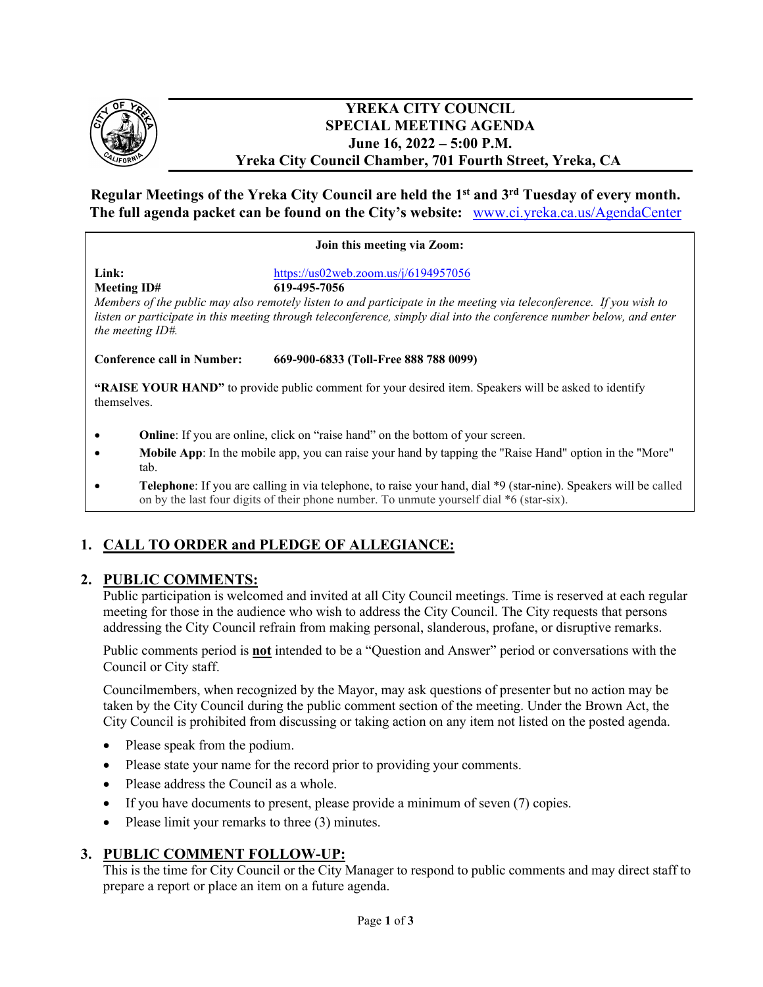

### **YREKA CITY COUNCIL SPECIAL MEETING AGENDA June 16, 2022 – 5:00 P.M. Yreka City Council Chamber, 701 Fourth Street, Yreka, CA**

## **Regular Meetings of the Yreka City Council are held the 1st and 3rd Tuesday of every month. The full agenda packet can be found on the City's website:** [www.ci.yreka.ca.us/AgendaCenter](http://www.ci.yreka.ca.us/AgendaCenter)

#### **Join this meeting via Zoom:**

**Link:** <https://us02web.zoom.us/j/6194957056> **Meeting ID# 619-495-7056** 

*Members of the public may also remotely listen to and participate in the meeting via teleconference. If you wish to listen or participate in this meeting through teleconference, simply dial into the conference number below, and enter the meeting ID#.*

**Conference call in Number: 669-900-6833 (Toll-Free 888 788 0099)** 

**"RAISE YOUR HAND"** to provide public comment for your desired item. Speakers will be asked to identify themselves.

- **Online**: If you are online, click on "raise hand" on the bottom of your screen.
- **Mobile App**: In the mobile app, you can raise your hand by tapping the "Raise Hand" option in the "More" tab.
- **Telephone**: If you are calling in via telephone, to raise your hand, dial \*9 (star-nine). Speakers will be called on by the last four digits of their phone number. To unmute yourself dial \*6 (star-six).

# **1. CALL TO ORDER and PLEDGE OF ALLEGIANCE:**

### **2. PUBLIC COMMENTS:**

Public participation is welcomed and invited at all City Council meetings. Time is reserved at each regular meeting for those in the audience who wish to address the City Council. The City requests that persons addressing the City Council refrain from making personal, slanderous, profane, or disruptive remarks.

Public comments period is **not** intended to be a "Question and Answer" period or conversations with the Council or City staff.

Councilmembers, when recognized by the Mayor, may ask questions of presenter but no action may be taken by the City Council during the public comment section of the meeting. Under the Brown Act, the City Council is prohibited from discussing or taking action on any item not listed on the posted agenda.

- Please speak from the podium.
- Please state your name for the record prior to providing your comments.
- Please address the Council as a whole.
- If you have documents to present, please provide a minimum of seven (7) copies.
- Please limit your remarks to three (3) minutes.

# **3. PUBLIC COMMENT FOLLOW-UP:**

This is the time for City Council or the City Manager to respond to public comments and may direct staff to prepare a report or place an item on a future agenda.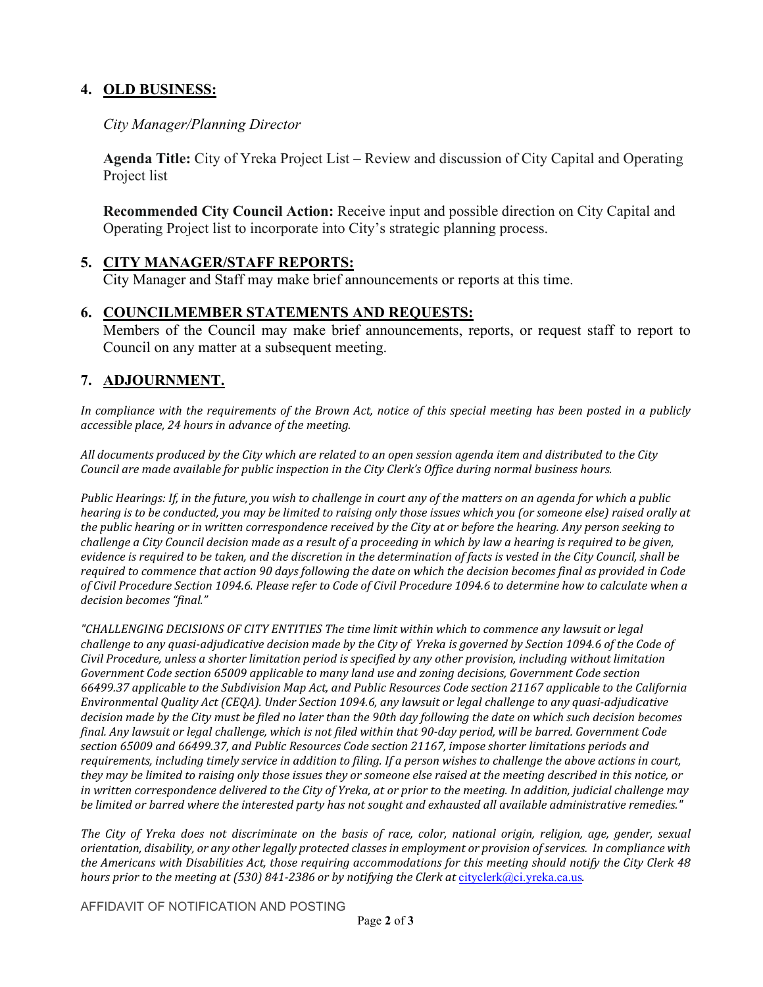# **4. OLD BUSINESS:**

## *City Manager/Planning Director*

**Agenda Title:** City of Yreka Project List – Review and discussion of City Capital and Operating Project list

**Recommended City Council Action:** Receive input and possible direction on City Capital and Operating Project list to incorporate into City's strategic planning process.

# **5. CITY MANAGER/STAFF REPORTS:**

City Manager and Staff may make brief announcements or reports at this time.

## **6. COUNCILMEMBER STATEMENTS AND REQUESTS:**

Members of the Council may make brief announcements, reports, or request staff to report to Council on any matter at a subsequent meeting.

# **7. ADJOURNMENT.**

In compliance with the requirements of the Brown Act, notice of this special meeting has been posted in a publicly *accessible place, 24 hours in advance of the meeting.*

*All documents produced by the City which are related to an open session agenda item and distributed to the City Council are made available for public inspection in the City Clerk's Office during normal business hours.*

*Public Hearings: If, in the future, you wish to challenge in court any of the matters on an agenda for which a public hearing is to be conducted, you may be limited to raising only those issues which you (or someone else) raised orally at the public hearing or in written correspondence received by the City at or before the hearing. Any person seeking to challenge a City Council decision made as a result of a proceeding in which by law a hearing is required to be given, evidence is required to be taken, and the discretion in the determination of facts is vested in the City Council, shall be required to commence that action 90 days following the date on which the decision becomes final as provided in Code of Civil Procedure Section 1094.6. Please refer to Code of Civil Procedure 1094.6 to determine how to calculate when a decision becomes "final."*

*"CHALLENGING DECISIONS OF CITY ENTITIES The time limit within which to commence any lawsuit or legal*  challenge to any quasi-adjudicative decision made by the City of Yreka is governed by Section 1094.6 of the Code of *Civil Procedure, unless a shorter limitation period is specified by any other provision, including without limitation Government Code section 65009 applicable to many land use and zoning decisions, Government Code section 66499.37 applicable to the Subdivision Map Act, and Public Resources Code section 21167 applicable to the California Environmental Quality Act (CEQA). Under Section 1094.6, any lawsuit or legal challenge to any quasi-adjudicative decision made by the City must be filed no later than the 90th day following the date on which such decision becomes final. Any lawsuit or legal challenge, which is not filed within that 90-day period, will be barred. Government Code section 65009 and 66499.37, and Public Resources Code section 21167, impose shorter limitations periods and requirements, including timely service in addition to filing. If a person wishes to challenge the above actions in court, they may be limited to raising only those issues they or someone else raised at the meeting described in this notice, or in written correspondence delivered to the City of Yreka, at or prior to the meeting. In addition, judicial challenge may be limited or barred where the interested party has not sought and exhausted all available administrative remedies."*

*The City of Yreka does not discriminate on the basis of race, color, national origin, religion, age, gender, sexual orientation, disability, or any other legally protected classes in employment or provision of services. In compliance with the Americans with Disabilities Act, those requiring accommodations for this meeting should notify the City Clerk 48 hours prior to the meeting at (530) 841-2386 or by notifying the Clerk at [cityclerk@ci.yreka.ca.us](mailto:cityclerk@ci.yreka.ca.us).* 

AFFIDAVIT OF NOTIFICATION AND POSTING